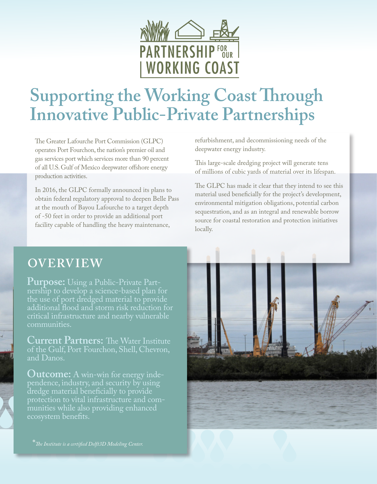

# **Supporting the Working Coast Through Innovative Public-Private Partnerships**

The Greater Lafourche Port Commission (GLPC) operates Port Fourchon, the nation's premier oil and gas services port which services more than 90 percent of all U.S. Gulf of Mexico deepwater offshore energy production activities.

In 2016, the GLPC formally announced its plans to obtain federal regulatory approval to deepen Belle Pass at the mouth of Bayou Lafourche to a target depth of -50 feet in order to provide an additional port facility capable of handling the heavy maintenance,

refurbishment, and decommissioning needs of the deepwater energy industry.

This large-scale dredging project will generate tens of millions of cubic yards of material over its lifespan.

The GLPC has made it clear that they intend to see this material used beneficially for the project's development, environmental mitigation obligations, potential carbon sequestration, and as an integral and renewable borrow source for coastal restoration and protection initiatives locally.

### **OVERVIEW**

**Purpose:** Using a Public-Private Partnership to develop a science-based plan for the use of port dredged material to provide additional flood and storm risk reduction for critical infrastructure and nearby vulnerable communities.

**Current Partners:** The Water Institute of the Gulf, Port Fourchon, Shell, Chevron, and Danos.

**Outcome:** A win-win for energy inde-<br><u>pendence, industry, and se</u>curity by using dredge material beneficially to provide protection to vital infrastructure and communities while also providing enhanced ecosystem benefits.



\**The Institute is a certified Delft3D Modeling Center.*